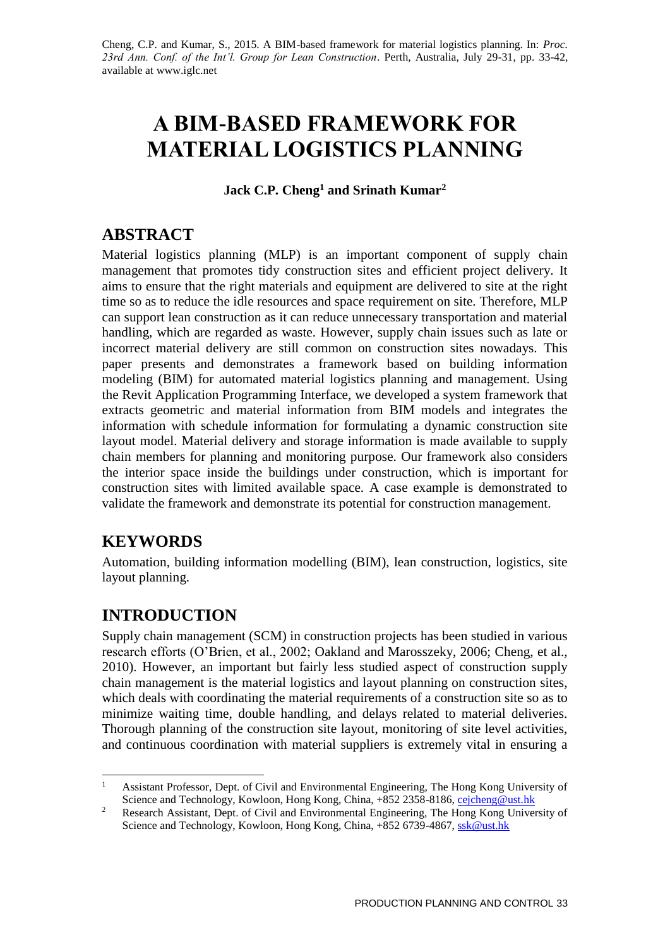# **A BIM-BASED FRAMEWORK FOR MATERIAL LOGISTICS PLANNING**

**Jack C.P. Cheng<sup>1</sup> and Srinath Kumar<sup>2</sup>**

# **ABSTRACT**

Material logistics planning (MLP) is an important component of supply chain management that promotes tidy construction sites and efficient project delivery. It aims to ensure that the right materials and equipment are delivered to site at the right time so as to reduce the idle resources and space requirement on site. Therefore, MLP can support lean construction as it can reduce unnecessary transportation and material handling, which are regarded as waste. However, supply chain issues such as late or incorrect material delivery are still common on construction sites nowadays. This paper presents and demonstrates a framework based on building information modeling (BIM) for automated material logistics planning and management. Using the Revit Application Programming Interface, we developed a system framework that extracts geometric and material information from BIM models and integrates the information with schedule information for formulating a dynamic construction site layout model. Material delivery and storage information is made available to supply chain members for planning and monitoring purpose. Our framework also considers the interior space inside the buildings under construction, which is important for construction sites with limited available space. A case example is demonstrated to validate the framework and demonstrate its potential for construction management.

# **KEYWORDS**

Automation, building information modelling (BIM), lean construction, logistics, site layout planning.

# **INTRODUCTION**

Supply chain management (SCM) in construction projects has been studied in various research efforts (O'Brien, et al., 2002; Oakland and Marosszeky, 2006; Cheng, et al., 2010). However, an important but fairly less studied aspect of construction supply chain management is the material logistics and layout planning on construction sites, which deals with coordinating the material requirements of a construction site so as to minimize waiting time, double handling, and delays related to material deliveries. Thorough planning of the construction site layout, monitoring of site level activities, and continuous coordination with material suppliers is extremely vital in ensuring a

<sup>1</sup> <sup>1</sup> Assistant Professor, Dept. of Civil and Environmental Engineering, The Hong Kong University of Science and Technology, Kowloon, Hong Kong, China, +852 2358-8186, cejcheng@ust.hk

<sup>&</sup>lt;sup>2</sup> Research Assistant, Dept. of Civil and Environmental Engineering, The Hong Kong University of Science and Technology, Kowloon, Hong Kong, China, +852 6739-4867[, ssk@ust.hk](mailto:ssk@ust.hk)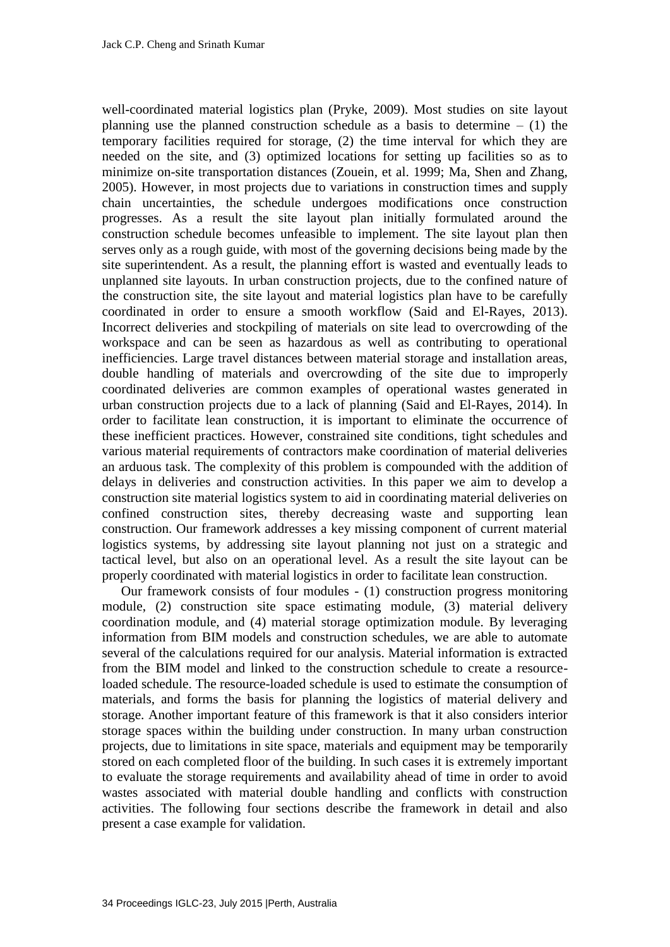well-coordinated material logistics plan (Pryke, 2009). Most studies on site layout planning use the planned construction schedule as a basis to determine  $- (1)$  the temporary facilities required for storage, (2) the time interval for which they are needed on the site, and (3) optimized locations for setting up facilities so as to minimize on-site transportation distances (Zouein, et al. 1999; Ma, Shen and Zhang, 2005). However, in most projects due to variations in construction times and supply chain uncertainties, the schedule undergoes modifications once construction progresses. As a result the site layout plan initially formulated around the construction schedule becomes unfeasible to implement. The site layout plan then serves only as a rough guide, with most of the governing decisions being made by the site superintendent. As a result, the planning effort is wasted and eventually leads to unplanned site layouts. In urban construction projects, due to the confined nature of the construction site, the site layout and material logistics plan have to be carefully coordinated in order to ensure a smooth workflow (Said and El-Rayes, 2013). Incorrect deliveries and stockpiling of materials on site lead to overcrowding of the workspace and can be seen as hazardous as well as contributing to operational inefficiencies. Large travel distances between material storage and installation areas, double handling of materials and overcrowding of the site due to improperly coordinated deliveries are common examples of operational wastes generated in urban construction projects due to a lack of planning (Said and El-Rayes, 2014). In order to facilitate lean construction, it is important to eliminate the occurrence of these inefficient practices. However, constrained site conditions, tight schedules and various material requirements of contractors make coordination of material deliveries an arduous task. The complexity of this problem is compounded with the addition of delays in deliveries and construction activities. In this paper we aim to develop a construction site material logistics system to aid in coordinating material deliveries on confined construction sites, thereby decreasing waste and supporting lean construction. Our framework addresses a key missing component of current material logistics systems, by addressing site layout planning not just on a strategic and tactical level, but also on an operational level. As a result the site layout can be properly coordinated with material logistics in order to facilitate lean construction.

Our framework consists of four modules - (1) construction progress monitoring module, (2) construction site space estimating module, (3) material delivery coordination module, and (4) material storage optimization module. By leveraging information from BIM models and construction schedules, we are able to automate several of the calculations required for our analysis. Material information is extracted from the BIM model and linked to the construction schedule to create a resourceloaded schedule. The resource-loaded schedule is used to estimate the consumption of materials, and forms the basis for planning the logistics of material delivery and storage. Another important feature of this framework is that it also considers interior storage spaces within the building under construction. In many urban construction projects, due to limitations in site space, materials and equipment may be temporarily stored on each completed floor of the building. In such cases it is extremely important to evaluate the storage requirements and availability ahead of time in order to avoid wastes associated with material double handling and conflicts with construction activities. The following four sections describe the framework in detail and also present a case example for validation.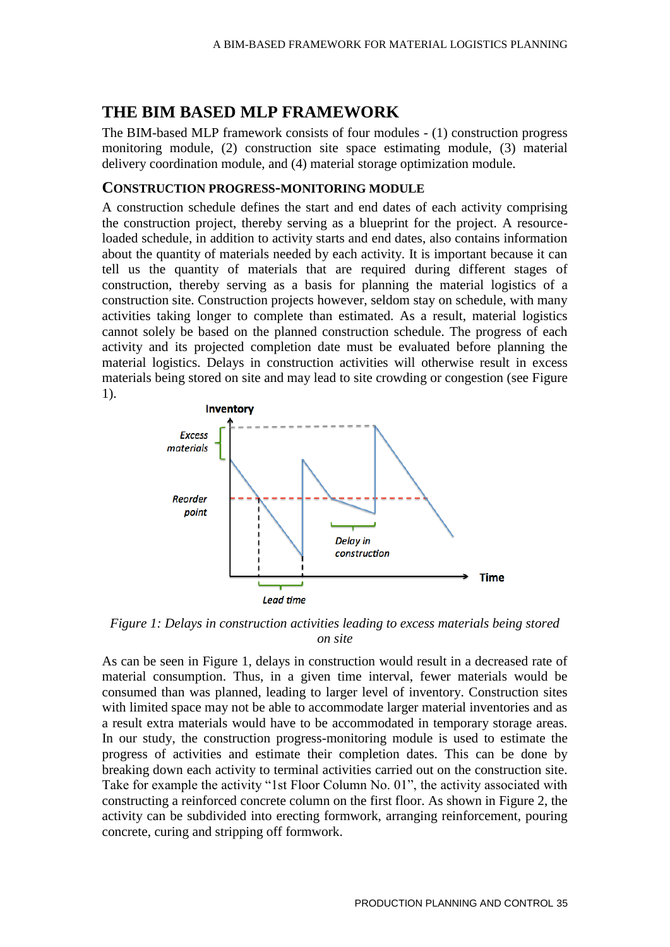# **THE BIM BASED MLP FRAMEWORK**

The BIM-based MLP framework consists of four modules - (1) construction progress monitoring module, (2) construction site space estimating module, (3) material delivery coordination module, and (4) material storage optimization module.

#### **CONSTRUCTION PROGRESS-MONITORING MODULE**

A construction schedule defines the start and end dates of each activity comprising the construction project, thereby serving as a blueprint for the project. A resourceloaded schedule, in addition to activity starts and end dates, also contains information about the quantity of materials needed by each activity. It is important because it can tell us the quantity of materials that are required during different stages of construction, thereby serving as a basis for planning the material logistics of a construction site. Construction projects however, seldom stay on schedule, with many activities taking longer to complete than estimated. As a result, material logistics cannot solely be based on the planned construction schedule. The progress of each activity and its projected completion date must be evaluated before planning the material logistics. Delays in construction activities will otherwise result in excess materials being stored on site and may lead to site crowding or congestion (see Figure 1).



*Figure 1: Delays in construction activities leading to excess materials being stored on site*

As can be seen in Figure 1, delays in construction would result in a decreased rate of material consumption. Thus, in a given time interval, fewer materials would be consumed than was planned, leading to larger level of inventory. Construction sites with limited space may not be able to accommodate larger material inventories and as a result extra materials would have to be accommodated in temporary storage areas. In our study, the construction progress-monitoring module is used to estimate the progress of activities and estimate their completion dates. This can be done by breaking down each activity to terminal activities carried out on the construction site. Take for example the activity "1st Floor Column No. 01", the activity associated with constructing a reinforced concrete column on the first floor. As shown in Figure 2, the activity can be subdivided into erecting formwork, arranging reinforcement, pouring concrete, curing and stripping off formwork.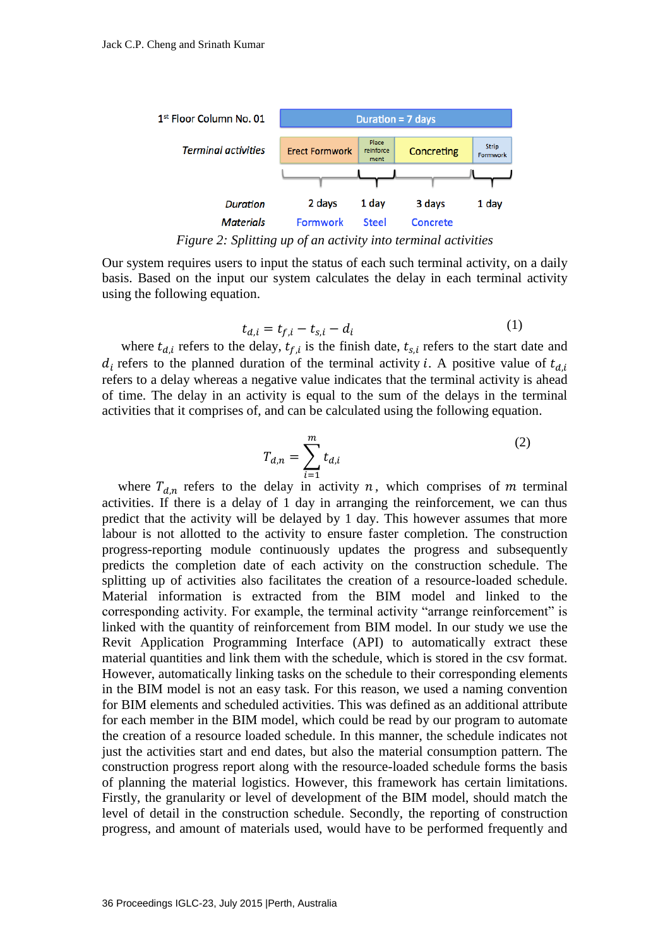

*Figure 2: Splitting up of an activity into terminal activities*

Our system requires users to input the status of each such terminal activity, on a daily basis. Based on the input our system calculates the delay in each terminal activity using the following equation.

$$
t_{d,i} = t_{f,i} - t_{s,i} - d_i
$$
 (1)

 $(1)$ 

where  $t_{d,i}$  refers to the delay,  $t_{f,i}$  is the finish date,  $t_{s,i}$  refers to the start date and  $d_i$  refers to the planned duration of the terminal activity *i*. A positive value of  $t_{d,i}$ refers to a delay whereas a negative value indicates that the terminal activity is ahead of time. The delay in an activity is equal to the sum of the delays in the terminal activities that it comprises of, and can be calculated using the following equation.

$$
T_{d,n} = \sum_{i=1}^{m} t_{d,i}
$$
 (2)

where  $T_{d,n}$  refers to the delay in activity n, which comprises of m terminal activities. If there is a delay of 1 day in arranging the reinforcement, we can thus predict that the activity will be delayed by 1 day. This however assumes that more labour is not allotted to the activity to ensure faster completion. The construction progress-reporting module continuously updates the progress and subsequently predicts the completion date of each activity on the construction schedule. The splitting up of activities also facilitates the creation of a resource-loaded schedule. Material information is extracted from the BIM model and linked to the corresponding activity. For example, the terminal activity "arrange reinforcement" is linked with the quantity of reinforcement from BIM model. In our study we use the Revit Application Programming Interface (API) to automatically extract these material quantities and link them with the schedule, which is stored in the csv format. However, automatically linking tasks on the schedule to their corresponding elements in the BIM model is not an easy task. For this reason, we used a naming convention for BIM elements and scheduled activities. This was defined as an additional attribute for each member in the BIM model, which could be read by our program to automate the creation of a resource loaded schedule. In this manner, the schedule indicates not just the activities start and end dates, but also the material consumption pattern. The construction progress report along with the resource-loaded schedule forms the basis of planning the material logistics. However, this framework has certain limitations. Firstly, the granularity or level of development of the BIM model, should match the level of detail in the construction schedule. Secondly, the reporting of construction progress, and amount of materials used, would have to be performed frequently and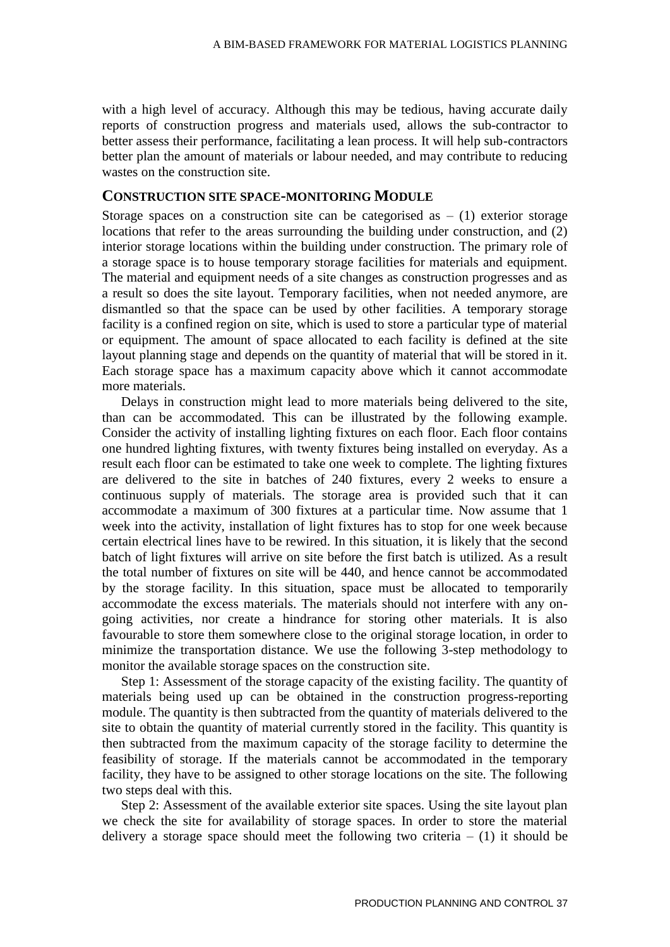with a high level of accuracy. Although this may be tedious, having accurate daily reports of construction progress and materials used, allows the sub-contractor to better assess their performance, facilitating a lean process. It will help sub-contractors better plan the amount of materials or labour needed, and may contribute to reducing wastes on the construction site.

#### **CONSTRUCTION SITE SPACE-MONITORING MODULE**

Storage spaces on a construction site can be categorised as  $- (1)$  exterior storage locations that refer to the areas surrounding the building under construction, and (2) interior storage locations within the building under construction. The primary role of a storage space is to house temporary storage facilities for materials and equipment. The material and equipment needs of a site changes as construction progresses and as a result so does the site layout. Temporary facilities, when not needed anymore, are dismantled so that the space can be used by other facilities. A temporary storage facility is a confined region on site, which is used to store a particular type of material or equipment. The amount of space allocated to each facility is defined at the site layout planning stage and depends on the quantity of material that will be stored in it. Each storage space has a maximum capacity above which it cannot accommodate more materials.

Delays in construction might lead to more materials being delivered to the site, than can be accommodated. This can be illustrated by the following example. Consider the activity of installing lighting fixtures on each floor. Each floor contains one hundred lighting fixtures, with twenty fixtures being installed on everyday. As a result each floor can be estimated to take one week to complete. The lighting fixtures are delivered to the site in batches of 240 fixtures, every 2 weeks to ensure a continuous supply of materials. The storage area is provided such that it can accommodate a maximum of 300 fixtures at a particular time. Now assume that 1 week into the activity, installation of light fixtures has to stop for one week because certain electrical lines have to be rewired. In this situation, it is likely that the second batch of light fixtures will arrive on site before the first batch is utilized. As a result the total number of fixtures on site will be 440, and hence cannot be accommodated by the storage facility. In this situation, space must be allocated to temporarily accommodate the excess materials. The materials should not interfere with any ongoing activities, nor create a hindrance for storing other materials. It is also favourable to store them somewhere close to the original storage location, in order to minimize the transportation distance. We use the following 3-step methodology to monitor the available storage spaces on the construction site.

Step 1: Assessment of the storage capacity of the existing facility. The quantity of materials being used up can be obtained in the construction progress-reporting module. The quantity is then subtracted from the quantity of materials delivered to the site to obtain the quantity of material currently stored in the facility. This quantity is then subtracted from the maximum capacity of the storage facility to determine the feasibility of storage. If the materials cannot be accommodated in the temporary facility, they have to be assigned to other storage locations on the site. The following two steps deal with this.

Step 2: Assessment of the available exterior site spaces. Using the site layout plan we check the site for availability of storage spaces. In order to store the material delivery a storage space should meet the following two criteria  $- (1)$  it should be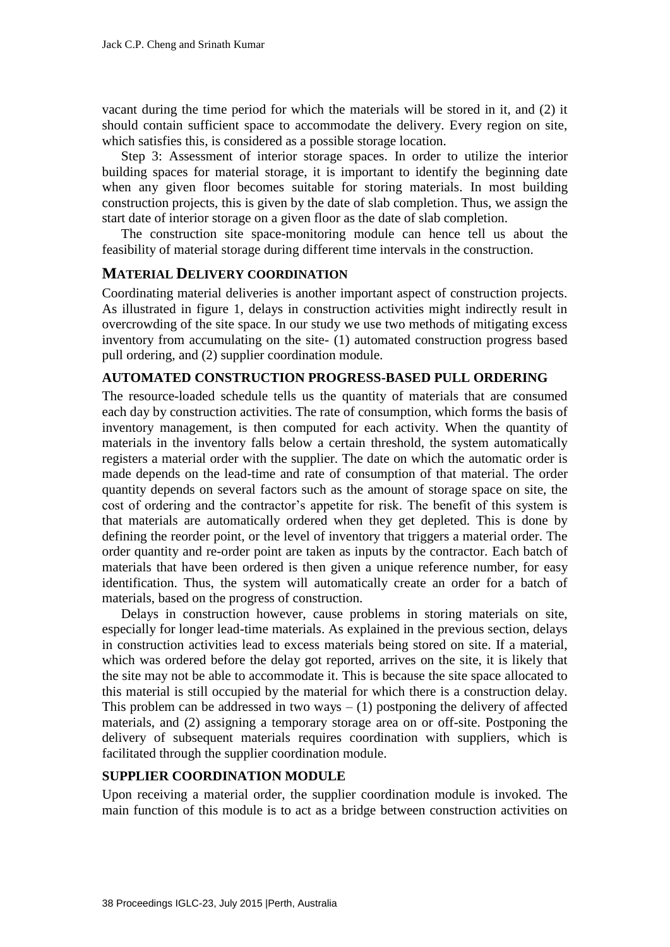vacant during the time period for which the materials will be stored in it, and (2) it should contain sufficient space to accommodate the delivery. Every region on site, which satisfies this, is considered as a possible storage location.

Step 3: Assessment of interior storage spaces. In order to utilize the interior building spaces for material storage, it is important to identify the beginning date when any given floor becomes suitable for storing materials. In most building construction projects, this is given by the date of slab completion. Thus, we assign the start date of interior storage on a given floor as the date of slab completion.

The construction site space-monitoring module can hence tell us about the feasibility of material storage during different time intervals in the construction.

### **MATERIAL DELIVERY COORDINATION**

Coordinating material deliveries is another important aspect of construction projects. As illustrated in figure 1, delays in construction activities might indirectly result in overcrowding of the site space. In our study we use two methods of mitigating excess inventory from accumulating on the site- (1) automated construction progress based pull ordering, and (2) supplier coordination module.

### **AUTOMATED CONSTRUCTION PROGRESS-BASED PULL ORDERING**

The resource-loaded schedule tells us the quantity of materials that are consumed each day by construction activities. The rate of consumption, which forms the basis of inventory management, is then computed for each activity. When the quantity of materials in the inventory falls below a certain threshold, the system automatically registers a material order with the supplier. The date on which the automatic order is made depends on the lead-time and rate of consumption of that material. The order quantity depends on several factors such as the amount of storage space on site, the cost of ordering and the contractor's appetite for risk. The benefit of this system is that materials are automatically ordered when they get depleted. This is done by defining the reorder point, or the level of inventory that triggers a material order. The order quantity and re-order point are taken as inputs by the contractor. Each batch of materials that have been ordered is then given a unique reference number, for easy identification. Thus, the system will automatically create an order for a batch of materials, based on the progress of construction.

Delays in construction however, cause problems in storing materials on site, especially for longer lead-time materials. As explained in the previous section, delays in construction activities lead to excess materials being stored on site. If a material, which was ordered before the delay got reported, arrives on the site, it is likely that the site may not be able to accommodate it. This is because the site space allocated to this material is still occupied by the material for which there is a construction delay. This problem can be addressed in two ways  $- (1)$  postponing the delivery of affected materials, and (2) assigning a temporary storage area on or off-site. Postponing the delivery of subsequent materials requires coordination with suppliers, which is facilitated through the supplier coordination module.

### **SUPPLIER COORDINATION MODULE**

Upon receiving a material order, the supplier coordination module is invoked. The main function of this module is to act as a bridge between construction activities on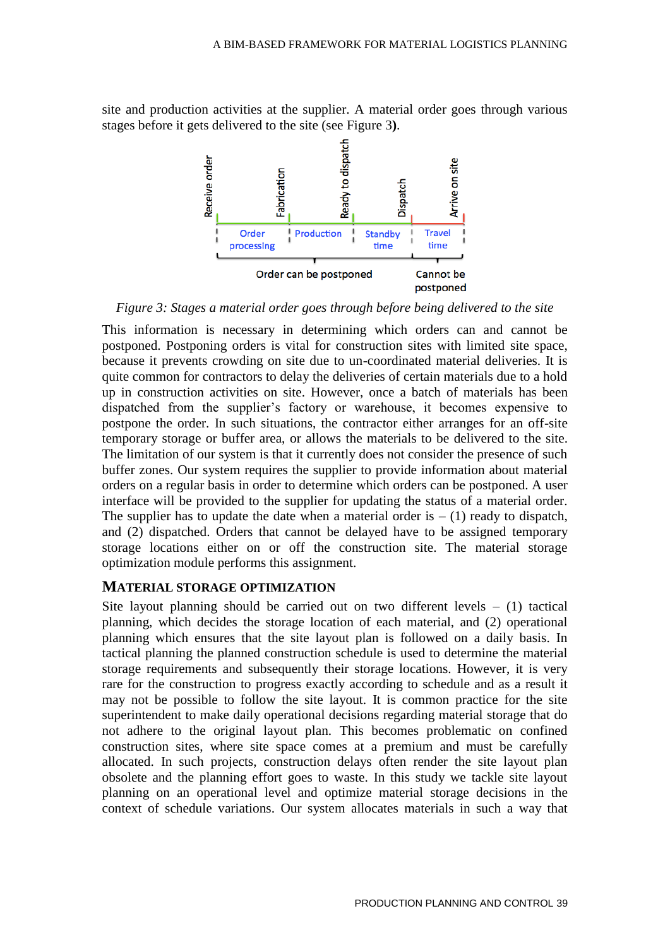site and production activities at the supplier. A material order goes through various stages before it gets delivered to the site (see Figure 3**)**.



*Figure 3: Stages a material order goes through before being delivered to the site*

This information is necessary in determining which orders can and cannot be postponed. Postponing orders is vital for construction sites with limited site space, because it prevents crowding on site due to un-coordinated material deliveries. It is quite common for contractors to delay the deliveries of certain materials due to a hold up in construction activities on site. However, once a batch of materials has been dispatched from the supplier's factory or warehouse, it becomes expensive to postpone the order. In such situations, the contractor either arranges for an off-site temporary storage or buffer area, or allows the materials to be delivered to the site. The limitation of our system is that it currently does not consider the presence of such buffer zones. Our system requires the supplier to provide information about material orders on a regular basis in order to determine which orders can be postponed. A user interface will be provided to the supplier for updating the status of a material order. The supplier has to update the date when a material order is  $- (1)$  ready to dispatch, and (2) dispatched. Orders that cannot be delayed have to be assigned temporary storage locations either on or off the construction site. The material storage optimization module performs this assignment.

#### **MATERIAL STORAGE OPTIMIZATION**

Site layout planning should be carried out on two different levels  $-$  (1) tactical planning, which decides the storage location of each material, and (2) operational planning which ensures that the site layout plan is followed on a daily basis. In tactical planning the planned construction schedule is used to determine the material storage requirements and subsequently their storage locations. However, it is very rare for the construction to progress exactly according to schedule and as a result it may not be possible to follow the site layout. It is common practice for the site superintendent to make daily operational decisions regarding material storage that do not adhere to the original layout plan. This becomes problematic on confined construction sites, where site space comes at a premium and must be carefully allocated. In such projects, construction delays often render the site layout plan obsolete and the planning effort goes to waste. In this study we tackle site layout planning on an operational level and optimize material storage decisions in the context of schedule variations. Our system allocates materials in such a way that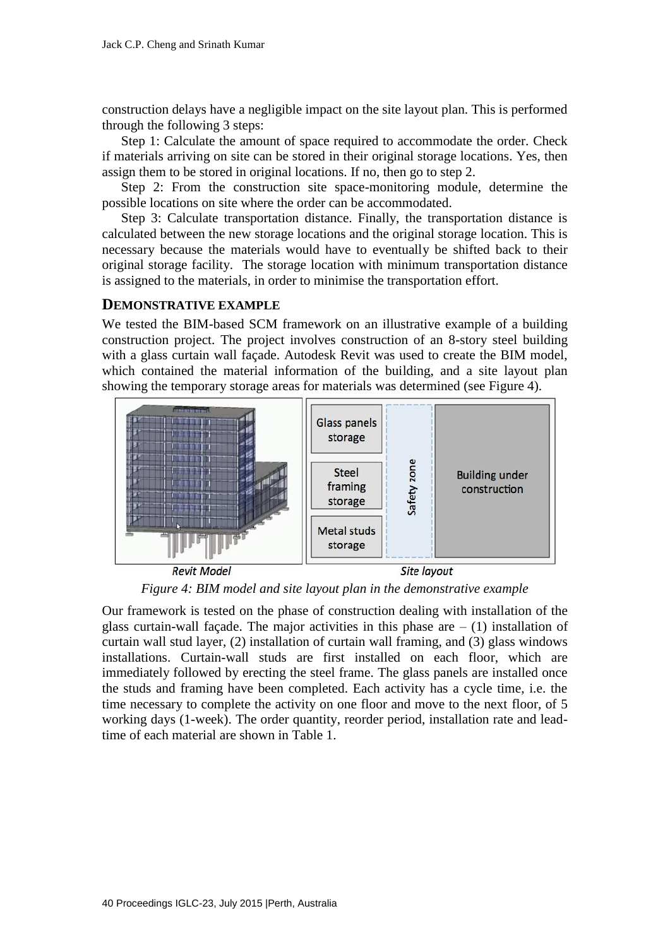construction delays have a negligible impact on the site layout plan. This is performed through the following 3 steps:

Step 1: Calculate the amount of space required to accommodate the order. Check if materials arriving on site can be stored in their original storage locations. Yes, then assign them to be stored in original locations. If no, then go to step 2.

Step 2: From the construction site space-monitoring module, determine the possible locations on site where the order can be accommodated.

Step 3: Calculate transportation distance. Finally, the transportation distance is calculated between the new storage locations and the original storage location. This is necessary because the materials would have to eventually be shifted back to their original storage facility. The storage location with minimum transportation distance is assigned to the materials, in order to minimise the transportation effort.

### **DEMONSTRATIVE EXAMPLE**

We tested the BIM-based SCM framework on an illustrative example of a building construction project. The project involves construction of an 8-story steel building with a glass curtain wall façade. Autodesk Revit was used to create the BIM model, which contained the material information of the building, and a site layout plan showing the temporary storage areas for materials was determined (see Figure 4).



*Figure 4: BIM model and site layout plan in the demonstrative example*

Our framework is tested on the phase of construction dealing with installation of the glass curtain-wall façade. The major activities in this phase are  $- (1)$  installation of curtain wall stud layer, (2) installation of curtain wall framing, and (3) glass windows installations. Curtain-wall studs are first installed on each floor, which are immediately followed by erecting the steel frame. The glass panels are installed once the studs and framing have been completed. Each activity has a cycle time, i.e. the time necessary to complete the activity on one floor and move to the next floor, of 5 working days (1-week). The order quantity, reorder period, installation rate and leadtime of each material are shown in Table 1.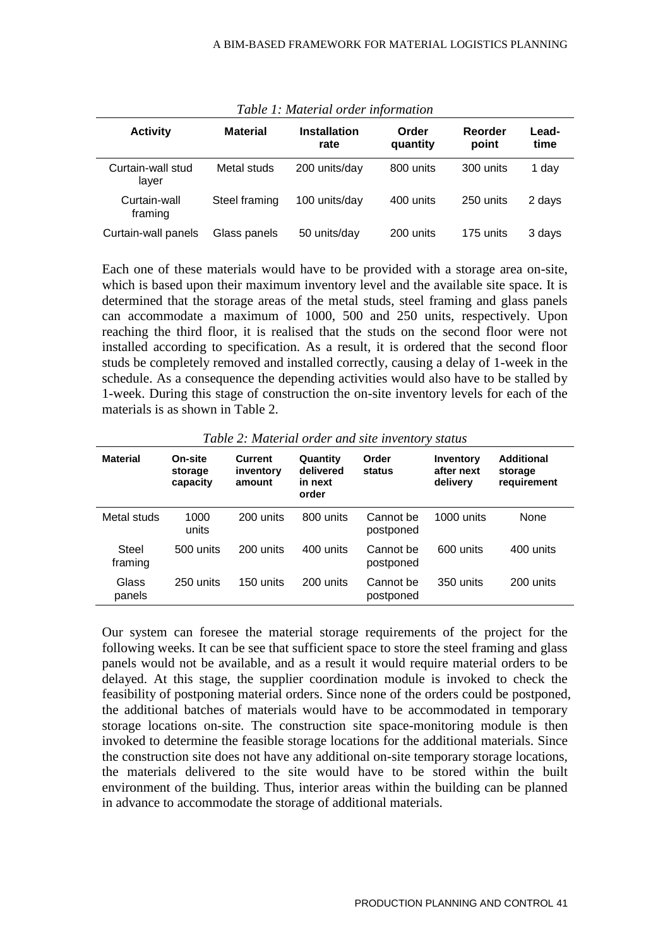| Tubic 1, maiorial brach information |                 |                             |                   |                  |               |  |  |  |  |
|-------------------------------------|-----------------|-----------------------------|-------------------|------------------|---------------|--|--|--|--|
| <b>Activity</b>                     | <b>Material</b> | <b>Installation</b><br>rate | Order<br>quantity | Reorder<br>point | Lead-<br>time |  |  |  |  |
| Curtain-wall stud<br>laver          | Metal studs     | 200 units/day               | 800 units         | 300 units        | 1 day         |  |  |  |  |
| Curtain-wall<br>framing             | Steel framing   | 100 units/day               | 400 units         | 250 units        | 2 days        |  |  |  |  |
| Curtain-wall panels                 | Glass panels    | 50 units/day                | 200 units         | 175 units        | 3 days        |  |  |  |  |

*Table 1: Material order information*

Each one of these materials would have to be provided with a storage area on-site, which is based upon their maximum inventory level and the available site space. It is determined that the storage areas of the metal studs, steel framing and glass panels can accommodate a maximum of 1000, 500 and 250 units, respectively. Upon reaching the third floor, it is realised that the studs on the second floor were not installed according to specification. As a result, it is ordered that the second floor studs be completely removed and installed correctly, causing a delay of 1-week in the schedule. As a consequence the depending activities would also have to be stalled by 1-week. During this stage of construction the on-site inventory levels for each of the materials is as shown in Table 2.

| <b>Material</b>  | On-site<br>storage<br>capacity | Current<br>inventory<br>amount | Quantity<br>delivered<br>in next<br>order | Order<br>status        | Inventory<br>after next<br>delivery | <b>Additional</b><br>storage<br>requirement |
|------------------|--------------------------------|--------------------------------|-------------------------------------------|------------------------|-------------------------------------|---------------------------------------------|
| Metal studs      | 1000<br>units                  | 200 units                      | 800 units                                 | Cannot be<br>postponed | 1000 units                          | None                                        |
| Steel<br>framing | 500 units                      | 200 units                      | 400 units                                 | Cannot be<br>postponed | 600 units                           | 400 units                                   |
| Glass<br>panels  | 250 units                      | 150 units                      | 200 units                                 | Cannot be<br>postponed | 350 units                           | 200 units                                   |

*Table 2: Material order and site inventory status*

Our system can foresee the material storage requirements of the project for the following weeks. It can be see that sufficient space to store the steel framing and glass panels would not be available, and as a result it would require material orders to be delayed. At this stage, the supplier coordination module is invoked to check the feasibility of postponing material orders. Since none of the orders could be postponed, the additional batches of materials would have to be accommodated in temporary storage locations on-site. The construction site space-monitoring module is then invoked to determine the feasible storage locations for the additional materials. Since the construction site does not have any additional on-site temporary storage locations, the materials delivered to the site would have to be stored within the built environment of the building. Thus, interior areas within the building can be planned in advance to accommodate the storage of additional materials.